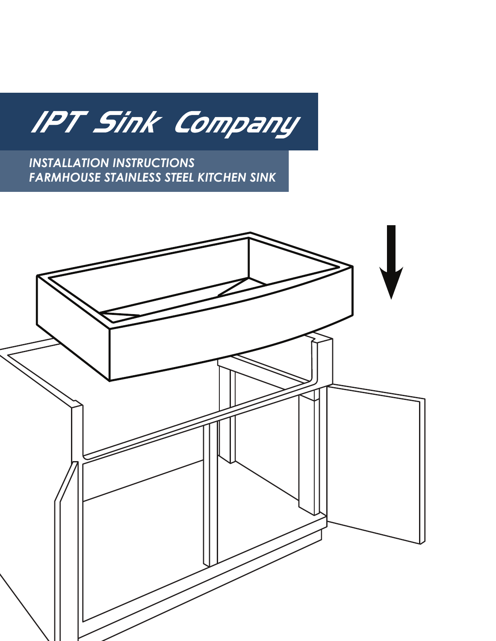IPT Sink Company

*INSTALLATION INSTRUCTIONS FARMHOUSE STAINLESS STEEL KITCHEN SINK*

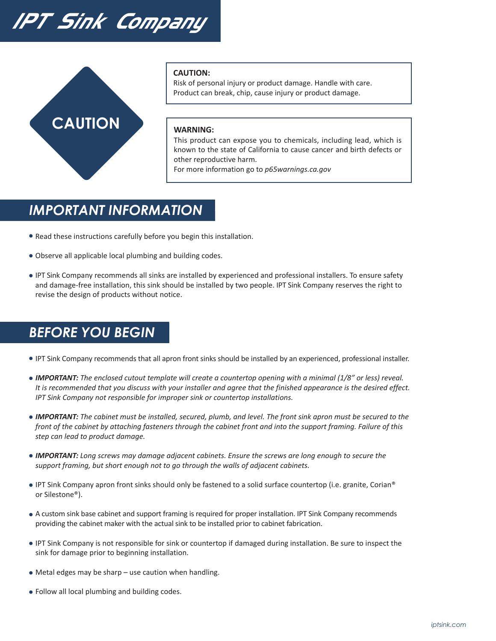# IPT Sink Company



#### **CAUTION:**

Risk of personal injury or product damage. Handle with care. Product can break, chip, cause injury or product damage.

#### **WARNING:**

This product can expose you to chemicals, including lead, which is known to the state of California to cause cancer and birth defects or other reproductive harm.

For more information go to *p65warnings.ca.gov*

### *IMPORTANT INFORMATION*

- Read these instructions carefully before you begin this installation.
- Observe all applicable local plumbing and building codes.
- IPT Sink Company recommends all sinks are installed by experienced and professional installers. To ensure safety and damage-free installation, this sink should be installed by two people. IPT Sink Company reserves the right to revise the design of products without notice.

### *BEFORE YOU BEGIN*

- IPT Sink Company recommends that all apron front sinks should be installed by an experienced, professional installer.
- *IMPORTANT: The enclosed cutout template will create a countertop opening with a minimal (1/8" or less) reveal. It is recommended that you discuss with your installer and agree that the finished appearance is the desired effect. IPT Sink Company not responsible for improper sink or countertop installations.*
- *IMPORTANT: The cabinet must be installed, secured, plumb, and level. The front sink apron must be secured to the front of the cabinet by attaching fasteners through the cabinet front and into the support framing. Failure of this step can lead to product damage.*
- *IMPORTANT: Long screws may damage adjacent cabinets. Ensure the screws are long enough to secure the support framing, but short enough not to go through the walls of adjacent cabinets.*
- IPT Sink Company apron front sinks should only be fastened to a solid surface countertop (i.e. granite, Corian® or Silestone®).
- A custom sink base cabinet and support framing is required for proper installation. IPT Sink Company recommends providing the cabinet maker with the actual sink to be installed prior to cabinet fabrication.
- IPT Sink Company is not responsible for sink or countertop if damaged during installation. Be sure to inspect the sink for damage prior to beginning installation.
- Metal edges may be sharp use caution when handling.
- Follow all local plumbing and building codes.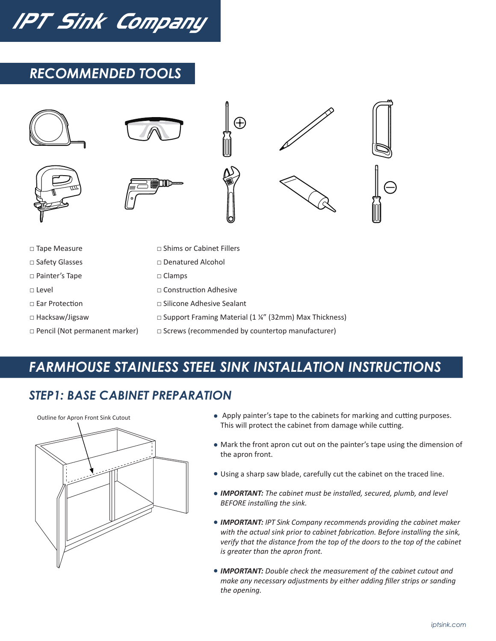IPT Sink Company

# *RECOMMENDED TOOLS*



- □ Pencil (Not permanent marker)
- □ Screws (recommended by countertop manufacturer)

# *FARMHOUSE STAINLESS STEEL SINK INSTALLATION INSTRUCTIONS*

#### *STEP1: BASE CABINET PREPARATION*



- Apply painter's tape to the cabinets for marking and cutting purposes. This will protect the cabinet from damage while cutting.
- Mark the front apron cut out on the painter's tape using the dimension of the apron front.
- Using a sharp saw blade, carefully cut the cabinet on the traced line.
- *IMPORTANT: The cabinet must be installed, secured, plumb, and level BEFORE installing the sink.*
- *IMPORTANT: IPT Sink Company recommends providing the cabinet maker with the actual sink prior to cabinet fabrication. Before installing the sink, verify that the distance from the top of the doors to the top of the cabinet is greater than the apron front.*
- *IMPORTANT: Double check the measurement of the cabinet cutout and make any necessary adjustments by either adding filler strips or sanding the opening.*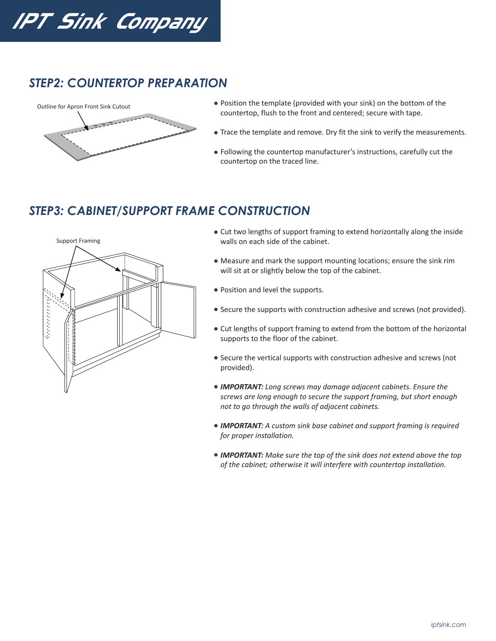IPT Sink Company

#### *STEP2: COUNTERTOP PREPARATION*



- Position the template (provided with your sink) on the bottom of the countertop, flush to the front and centered; secure with tape.
- Trace the template and remove. Dry fit the sink to verify the measurements.
- Following the countertop manufacturer's instructions, carefully cut the countertop on the traced line.

#### *STEP3: CABINET/SUPPORT FRAME CONSTRUCTION*



- Cut two lengths of support framing to extend horizontally along the inside walls on each side of the cabinet.
- Measure and mark the support mounting locations; ensure the sink rim will sit at or slightly below the top of the cabinet.
- Position and level the supports.
- Secure the supports with construction adhesive and screws (not provided).
- Cut lengths of support framing to extend from the bottom of the horizontal supports to the floor of the cabinet.
- Secure the vertical supports with construction adhesive and screws (not provided).
- *IMPORTANT: Long screws may damage adjacent cabinets. Ensure the screws are long enough to secure the support framing, but short enough not to go through the walls of adjacent cabinets.*
- *IMPORTANT: A custom sink base cabinet and support framing is required for proper installation.*
- *IMPORTANT: Make sure the top of the sink does not extend above the top of the cabinet; otherwise it will interfere with countertop installation.*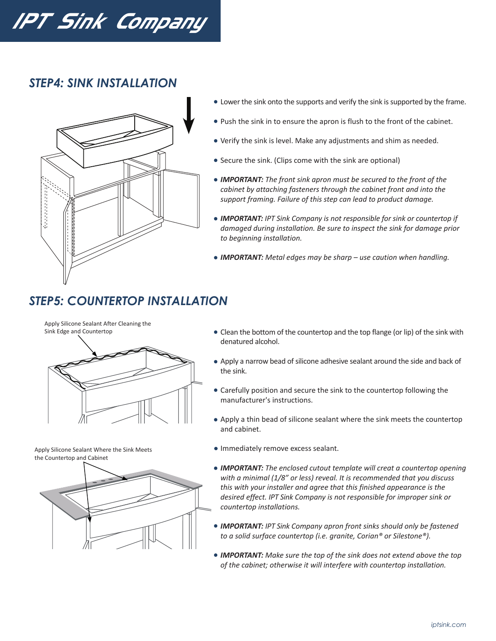# IPT Sink Company

#### *STEP4: SINK INSTALLATION*



- Lower the sink onto the supports and verify the sink is supported by the frame.
- Push the sink in to ensure the apron is flush to the front of the cabinet.
- Verify the sink is level. Make any adjustments and shim as needed.
- Secure the sink. (Clips come with the sink are optional)
- *IMPORTANT: The front sink apron must be secured to the front of the cabinet by attaching fasteners through the cabinet front and into the support framing. Failure of this step can lead to product damage.*
- *IMPORTANT: IPT Sink Company is not responsible for sink or countertop if damaged during installation. Be sure to inspect the sink for damage prior to beginning installation.*
- *IMPORTANT: Metal edges may be sharp use caution when handling.*

# *STEP5: COUNTERTOP INSTALLATION*

Apply Silicone Sealant After Cleaning the Sink Edge and Countertop



Apply Silicone Sealant Where the Sink Meets the Countertop and Cabinet



- Clean the bottom of the countertop and the top flange (or lip) of the sink with denatured alcohol.
- Apply a narrow bead of silicone adhesive sealant around the side and back of the sink.
- Carefully position and secure the sink to the countertop following the manufacturer's instructions.
- Apply a thin bead of silicone sealant where the sink meets the countertop and cabinet.
- **Immediately remove excess sealant.**
- *IMPORTANT: The enclosed cutout template will creat a countertop opening with a minimal (1/8" or less) reveal. It is recommended that you discuss this with your installer and agree that this finished appearance is the desired effect. IPT Sink Company is not responsible for improper sink or countertop installations.*
- *IMPORTANT: IPT Sink Company apron front sinks should only be fastened to a solid surface countertop (i.e. granite, Corian® or Silestone®).*
- *IMPORTANT: Make sure the top of the sink does not extend above the top of the cabinet; otherwise it will interfere with countertop installation.*